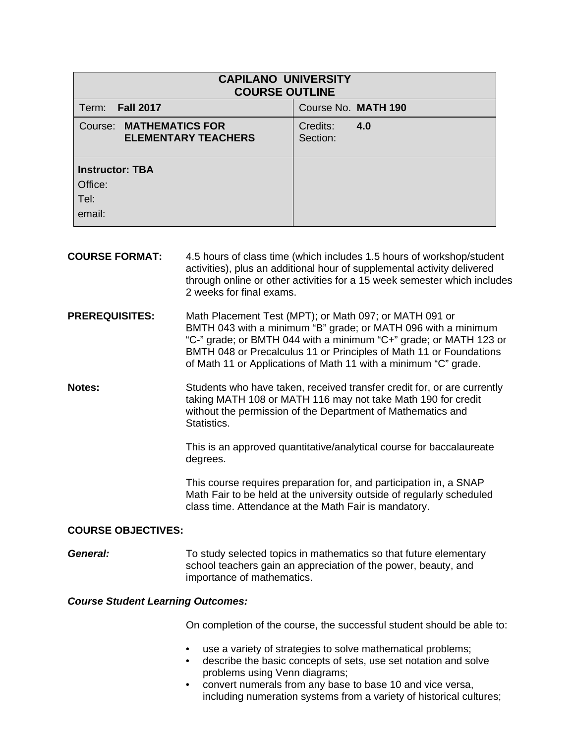| <b>CAPILANO UNIVERSITY</b><br><b>COURSE OUTLINE</b>          |                             |  |  |
|--------------------------------------------------------------|-----------------------------|--|--|
| <b>Fall 2017</b><br>Term:                                    | Course No. MATH 190         |  |  |
| <b>Course: MATHEMATICS FOR</b><br><b>ELEMENTARY TEACHERS</b> | Credits:<br>4.0<br>Section: |  |  |
| <b>Instructor: TBA</b>                                       |                             |  |  |
| Office:                                                      |                             |  |  |
| Tel:                                                         |                             |  |  |
| email:                                                       |                             |  |  |

| <b>COURSE FORMAT:</b>                    | 4.5 hours of class time (which includes 1.5 hours of workshop/student<br>activities), plus an additional hour of supplemental activity delivered<br>through online or other activities for a 15 week semester which includes<br>2 weeks for final exams.                                                                              |  |
|------------------------------------------|---------------------------------------------------------------------------------------------------------------------------------------------------------------------------------------------------------------------------------------------------------------------------------------------------------------------------------------|--|
| <b>PREREQUISITES:</b>                    | Math Placement Test (MPT); or Math 097; or MATH 091 or<br>BMTH 043 with a minimum "B" grade; or MATH 096 with a minimum<br>"C-" grade; or BMTH 044 with a minimum "C+" grade; or MATH 123 or<br>BMTH 048 or Precalculus 11 or Principles of Math 11 or Foundations<br>of Math 11 or Applications of Math 11 with a minimum "C" grade. |  |
| Notes:                                   | Students who have taken, received transfer credit for, or are currently<br>taking MATH 108 or MATH 116 may not take Math 190 for credit<br>without the permission of the Department of Mathematics and<br>Statistics.                                                                                                                 |  |
|                                          | This is an approved quantitative/analytical course for baccalaureate<br>degrees.                                                                                                                                                                                                                                                      |  |
|                                          | This course requires preparation for, and participation in, a SNAP<br>Math Fair to be held at the university outside of regularly scheduled<br>class time. Attendance at the Math Fair is mandatory.                                                                                                                                  |  |
| <b>COURSE OBJECTIVES:</b>                |                                                                                                                                                                                                                                                                                                                                       |  |
| General:                                 | To study selected topics in mathematics so that future elementary<br>school teachers gain an appreciation of the power, beauty, and<br>importance of mathematics.                                                                                                                                                                     |  |
| <b>Course Student Learning Outcomes:</b> |                                                                                                                                                                                                                                                                                                                                       |  |
|                                          | On completion of the course, the successful student should be able to:                                                                                                                                                                                                                                                                |  |

- use a variety of strategies to solve mathematical problems;
- describe the basic concepts of sets, use set notation and solve problems using Venn diagrams;
- convert numerals from any base to base 10 and vice versa, including numeration systems from a variety of historical cultures;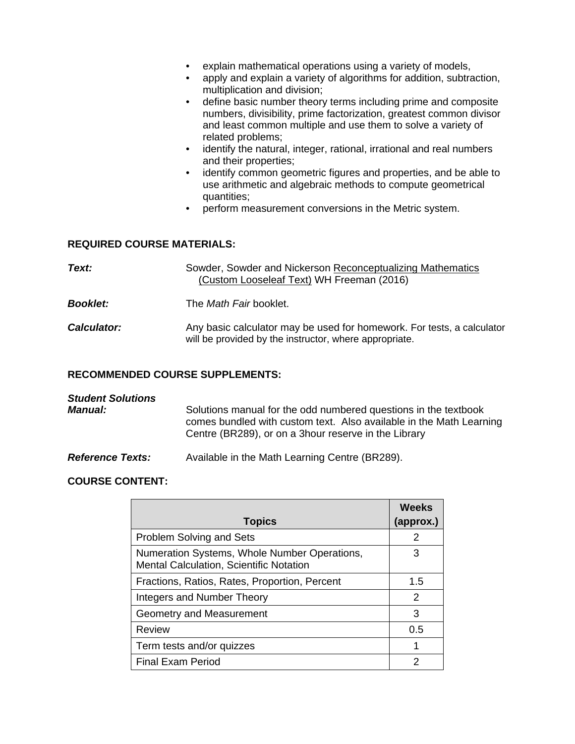- explain mathematical operations using a variety of models,
- apply and explain a variety of algorithms for addition, subtraction, multiplication and division;
- define basic number theory terms including prime and composite numbers, divisibility, prime factorization, greatest common divisor and least common multiple and use them to solve a variety of related problems;
- identify the natural, integer, rational, irrational and real numbers and their properties;
- identify common geometric figures and properties, and be able to use arithmetic and algebraic methods to compute geometrical quantities;
- perform measurement conversions in the Metric system.

## **REQUIRED COURSE MATERIALS:**

| Text:           | Sowder, Sowder and Nickerson Reconceptualizing Mathematics<br>(Custom Looseleaf Text) WH Freeman (2016)                          |
|-----------------|----------------------------------------------------------------------------------------------------------------------------------|
| <b>Booklet:</b> | The <i>Math Fair</i> booklet.                                                                                                    |
| Calculator:     | Any basic calculator may be used for homework. For tests, a calculator<br>will be provided by the instructor, where appropriate. |

# **RECOMMENDED COURSE SUPPLEMENTS:**

| <b>Student Solutions</b><br><b>Manual:</b> | Solutions manual for the odd numbered questions in the textbook<br>comes bundled with custom text. Also available in the Math Learning<br>Centre (BR289), or on a 3 hour reserve in the Library |
|--------------------------------------------|-------------------------------------------------------------------------------------------------------------------------------------------------------------------------------------------------|
| <b>Reference Texts:</b>                    | Available in the Math Learning Centre (BR289).                                                                                                                                                  |

## **COURSE CONTENT:**

|                                                                                                | Weeks     |
|------------------------------------------------------------------------------------------------|-----------|
| <b>Topics</b>                                                                                  | (approx.) |
| <b>Problem Solving and Sets</b>                                                                | 2         |
| Numeration Systems, Whole Number Operations,<br><b>Mental Calculation, Scientific Notation</b> | З         |
| Fractions, Ratios, Rates, Proportion, Percent                                                  | 1.5       |
| <b>Integers and Number Theory</b>                                                              | 2         |
| Geometry and Measurement                                                                       | 3         |
| <b>Review</b>                                                                                  | 0.5       |
| Term tests and/or quizzes                                                                      | 1         |
| <b>Final Exam Period</b>                                                                       | 2         |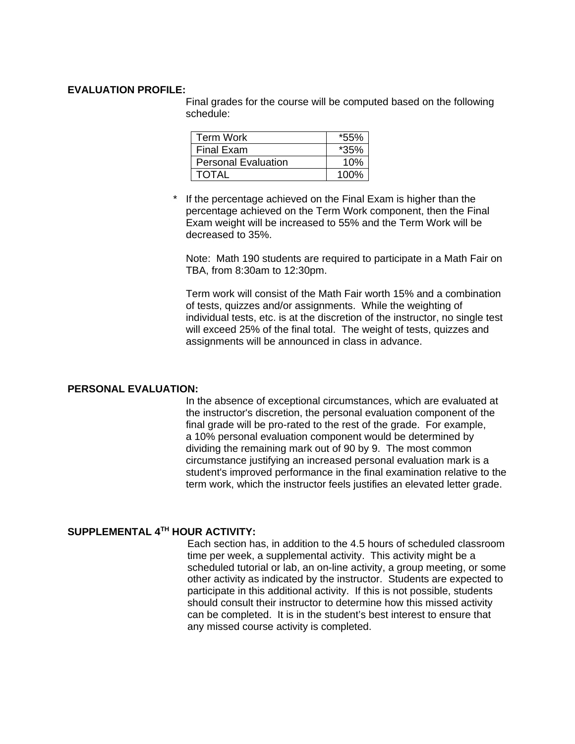#### **EVALUATION PROFILE:**

Final grades for the course will be computed based on the following schedule:

| <b>Term Work</b>           | *55% |
|----------------------------|------|
| <b>Final Exam</b>          | *35% |
| <b>Personal Evaluation</b> | 10%  |
| TOTAI                      | 100% |

If the percentage achieved on the Final Exam is higher than the percentage achieved on the Term Work component, then the Final Exam weight will be increased to 55% and the Term Work will be decreased to 35%.

 Note: Math 190 students are required to participate in a Math Fair on TBA, from 8:30am to 12:30pm.

 Term work will consist of the Math Fair worth 15% and a combination of tests, quizzes and/or assignments. While the weighting of individual tests, etc. is at the discretion of the instructor, no single test will exceed 25% of the final total. The weight of tests, quizzes and assignments will be announced in class in advance.

#### **PERSONAL EVALUATION:**

In the absence of exceptional circumstances, which are evaluated at the instructor's discretion, the personal evaluation component of the final grade will be pro-rated to the rest of the grade. For example, a 10% personal evaluation component would be determined by dividing the remaining mark out of 90 by 9. The most common circumstance justifying an increased personal evaluation mark is a student's improved performance in the final examination relative to the term work, which the instructor feels justifies an elevated letter grade.

## **SUPPLEMENTAL 4TH HOUR ACTIVITY:**

Each section has, in addition to the 4.5 hours of scheduled classroom time per week, a supplemental activity. This activity might be a scheduled tutorial or lab, an on-line activity, a group meeting, or some other activity as indicated by the instructor. Students are expected to participate in this additional activity. If this is not possible, students should consult their instructor to determine how this missed activity can be completed. It is in the student's best interest to ensure that any missed course activity is completed.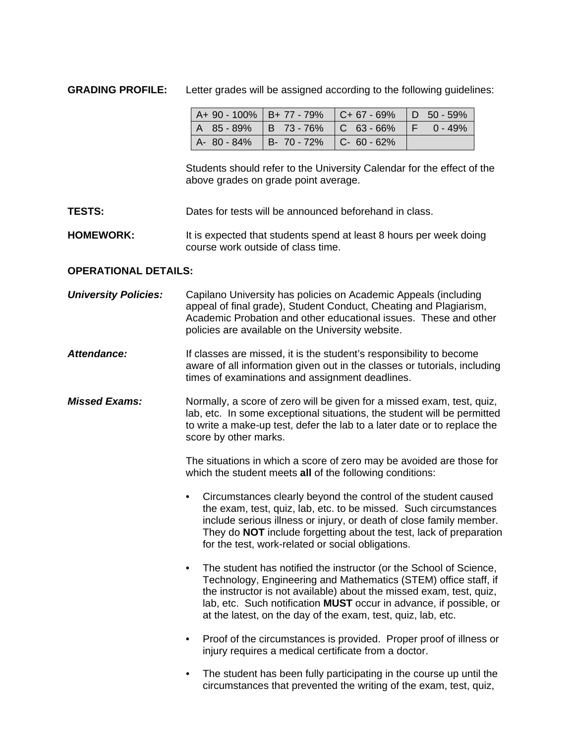## **GRADING PROFILE:** Letter grades will be assigned according to the following guidelines:

| $A+90-100\%$   B+77 - 79%   C+67 - 69%   D 50 - 59% |  |  |
|-----------------------------------------------------|--|--|
| A 85 - 89%   B 73 - 76%   C 63 - 66%   F 0 - 49%    |  |  |
| $A - 80 - 84\%$ B-70 - 72% C-60 - 62%               |  |  |

Students should refer to the University Calendar for the effect of the above grades on grade point average.

## **TESTS:** Dates for tests will be announced beforehand in class.

**HOMEWORK:** It is expected that students spend at least 8 hours per week doing course work outside of class time.

#### **OPERATIONAL DETAILS:**

- *University Policies:* Capilano University has policies on Academic Appeals (including appeal of final grade), Student Conduct, Cheating and Plagiarism, Academic Probation and other educational issues. These and other policies are available on the University website.
- Attendance: If classes are missed, it is the student's responsibility to become aware of all information given out in the classes or tutorials, including times of examinations and assignment deadlines.
- *Missed Exams:* Normally, a score of zero will be given for a missed exam, test, quiz, lab, etc. In some exceptional situations, the student will be permitted to write a make-up test, defer the lab to a later date or to replace the score by other marks.

The situations in which a score of zero may be avoided are those for which the student meets **all** of the following conditions:

- Circumstances clearly beyond the control of the student caused the exam, test, quiz, lab, etc. to be missed. Such circumstances include serious illness or injury, or death of close family member. They do **NOT** include forgetting about the test, lack of preparation for the test, work-related or social obligations.
- The student has notified the instructor (or the School of Science, Technology, Engineering and Mathematics (STEM) office staff, if the instructor is not available) about the missed exam, test, quiz, lab, etc. Such notification **MUST** occur in advance, if possible, or at the latest, on the day of the exam, test, quiz, lab, etc.
- Proof of the circumstances is provided. Proper proof of illness or injury requires a medical certificate from a doctor.
- The student has been fully participating in the course up until the circumstances that prevented the writing of the exam, test, quiz,